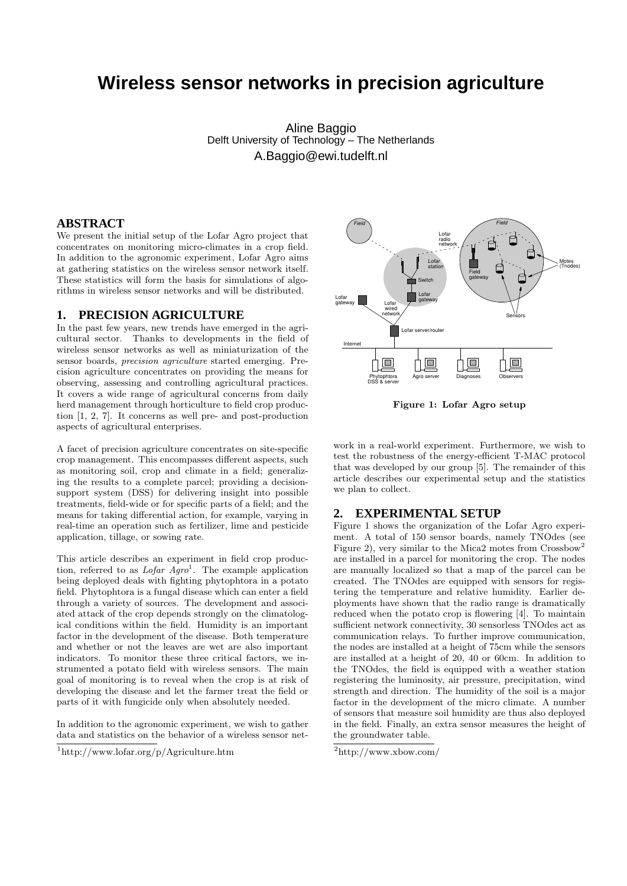# **Wireless sensor networks in precision agriculture**

Aline Baggio Delft University of Technology – The Netherlands A.Baggio@ewi.tudelft.nl

## **ABSTRACT**

We present the initial setup of the Lofar Agro project that concentrates on monitoring micro-climates in a crop field. In addition to the agronomic experiment, Lofar Agro aims at gathering statistics on the wireless sensor network itself. These statistics will form the basis for simulations of algorithms in wireless sensor networks and will be distributed.

# **1. PRECISION AGRICULTURE**

In the past few years, new trends have emerged in the agricultural sector. Thanks to developments in the field of wireless sensor networks as well as miniaturization of the sensor boards, precision agriculture started emerging. Precision agriculture concentrates on providing the means for observing, assessing and controlling agricultural practices. It covers a wide range of agricultural concerns from daily herd management through horticulture to field crop production [1, 2, 7]. It concerns as well pre- and post-production aspects of agricultural enterprises.

A facet of precision agriculture concentrates on site-specific crop management. This encompasses different aspects, such as monitoring soil, crop and climate in a field; generalizing the results to a complete parcel; providing a decisionsupport system (DSS) for delivering insight into possible treatments, field-wide or for specific parts of a field; and the means for taking differential action, for example, varying in real-time an operation such as fertilizer, lime and pesticide application, tillage, or sowing rate.

This article describes an experiment in field crop production, referred to as  $Lofar Agro<sup>1</sup>$ . The example application being deployed deals with fighting phytophtora in a potato field. Phytophtora is a fungal disease which can enter a field through a variety of sources. The development and associated attack of the crop depends strongly on the climatological conditions within the field. Humidity is an important factor in the development of the disease. Both temperature and whether or not the leaves are wet are also important indicators. To monitor these three critical factors, we instrumented a potato field with wireless sensors. The main goal of monitoring is to reveal when the crop is at risk of developing the disease and let the farmer treat the field or parts of it with fungicide only when absolutely needed. 14 **PRECISSION AGRICULTURE AS**<br> **14. PRECISSION AGRICULTURE ASS**<br> **14. Converged in the gatities of developments in the field of the past few years, new trends have energed in the agriculture. Thanks to developments i** 

In addition to the agronomic experiment, we wish to gather data and statistics on the behavior of a wireless sensor net-



Figure 1: Lofar Agro setup

work in a real-world experiment. Furthermore, we wish to test the robustness of the energy-efficient T-MAC protocol that was developed by our group [5]. The remainder of this article describes our experimental setup and the statistics we plan to collect.

## **2. EXPERIMENTAL SETUP**

Figure 1 shows the organization of the Lofar Agro experiment. A total of 150 sensor boards, namely TNOdes (see Figure 2), very similar to the Mica2 motes from Crossbow<sup>2</sup> are installed in a parcel for monitoring the crop. The nodes are manually localized so that a map of the parcel can be created. The TNOdes are equipped with sensors for registering the temperature and relative humidity. Earlier deployments have shown that the radio range is dramatically reduced when the potato crop is flowering [4]. To maintain sufficient network connectivity, 30 sensorless TNOdes act as communication relays. To further improve communication, the nodes are installed at a height of 75cm while the sensors are installed at a height of 20, 40 or 60cm. In addition to the TNOdes, the field is equipped with a weather station registering the luminosity, air pressure, precipitation, wind strength and direction. The humidity of the soil is a major factor in the development of the micro climate. A number of sensors that measure soil humidity are thus also deployed in the field. Finally, an extra sensor measures the height of the groundwater table.

 $^{2}$ http://www.xbow.com/